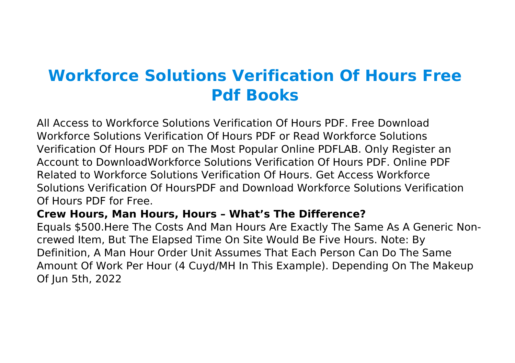# **Workforce Solutions Verification Of Hours Free Pdf Books**

All Access to Workforce Solutions Verification Of Hours PDF. Free Download Workforce Solutions Verification Of Hours PDF or Read Workforce Solutions Verification Of Hours PDF on The Most Popular Online PDFLAB. Only Register an Account to DownloadWorkforce Solutions Verification Of Hours PDF. Online PDF Related to Workforce Solutions Verification Of Hours. Get Access Workforce Solutions Verification Of HoursPDF and Download Workforce Solutions Verification Of Hours PDF for Free.

# **Crew Hours, Man Hours, Hours – What's The Difference?**

Equals \$500.Here The Costs And Man Hours Are Exactly The Same As A Generic Noncrewed Item, But The Elapsed Time On Site Would Be Five Hours. Note: By Definition, A Man Hour Order Unit Assumes That Each Person Can Do The Same Amount Of Work Per Hour (4 Cuyd/MH In This Example). Depending On The Makeup Of Jun 5th, 2022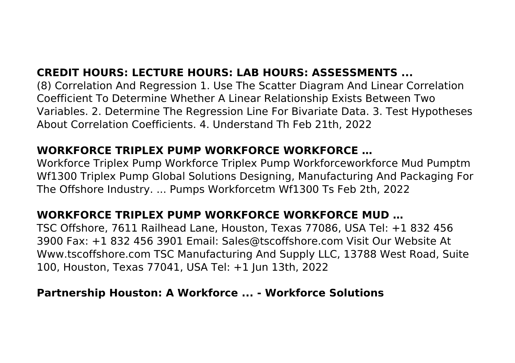# **CREDIT HOURS: LECTURE HOURS: LAB HOURS: ASSESSMENTS ...**

(8) Correlation And Regression 1. Use The Scatter Diagram And Linear Correlation Coefficient To Determine Whether A Linear Relationship Exists Between Two Variables. 2. Determine The Regression Line For Bivariate Data. 3. Test Hypotheses About Correlation Coefficients. 4. Understand Th Feb 21th, 2022

#### **WORKFORCE TRIPLEX PUMP WORKFORCE WORKFORCE …**

Workforce Triplex Pump Workforce Triplex Pump Workforceworkforce Mud Pumptm Wf1300 Triplex Pump Global Solutions Designing, Manufacturing And Packaging For The Offshore Industry. ... Pumps Workforcetm Wf1300 Ts Feb 2th, 2022

# **WORKFORCE TRIPLEX PUMP WORKFORCE WORKFORCE MUD …**

TSC Offshore, 7611 Railhead Lane, Houston, Texas 77086, USA Tel: +1 832 456 3900 Fax: +1 832 456 3901 Email: Sales@tscoffshore.com Visit Our Website At Www.tscoffshore.com TSC Manufacturing And Supply LLC, 13788 West Road, Suite 100, Houston, Texas 77041, USA Tel: +1 Jun 13th, 2022

#### **Partnership Houston: A Workforce ... - Workforce Solutions**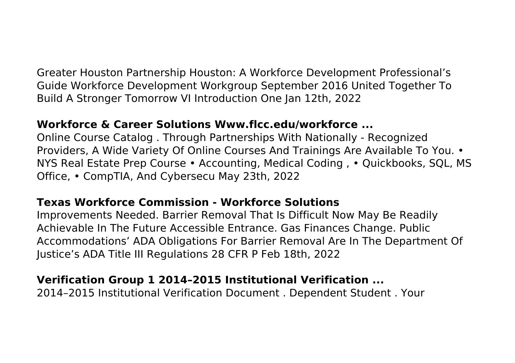Greater Houston Partnership Houston: A Workforce Development Professional's Guide Workforce Development Workgroup September 2016 United Together To Build A Stronger Tomorrow VI Introduction One Jan 12th, 2022

## **Workforce & Career Solutions Www.flcc.edu/workforce ...**

Online Course Catalog . Through Partnerships With Nationally - Recognized Providers, A Wide Variety Of Online Courses And Trainings Are Available To You. • NYS Real Estate Prep Course • Accounting, Medical Coding , • Quickbooks, SQL, MS Office, • CompTIA, And Cybersecu May 23th, 2022

#### **Texas Workforce Commission - Workforce Solutions**

Improvements Needed. Barrier Removal That Is Difficult Now May Be Readily Achievable In The Future Accessible Entrance. Gas Finances Change. Public Accommodations' ADA Obligations For Barrier Removal Are In The Department Of Justice's ADA Title III Regulations 28 CFR P Feb 18th, 2022

# **Verification Group 1 2014–2015 Institutional Verification ...**

2014–2015 Institutional Verification Document . Dependent Student . Your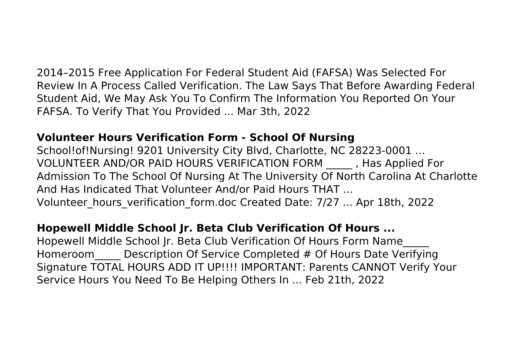2014–2015 Free Application For Federal Student Aid (FAFSA) Was Selected For Review In A Process Called Verification. The Law Says That Before Awarding Federal Student Aid, We May Ask You To Confirm The Information You Reported On Your FAFSA. To Verify That You Provided ... Mar 3th, 2022

## **Volunteer Hours Verification Form - School Of Nursing**

School!of!Nursing! 9201 University City Blvd, Charlotte, NC 28223-0001 ... VOLUNTEER AND/OR PAID HOURS VERIFICATION FORM \_\_\_\_\_ , Has Applied For Admission To The School Of Nursing At The University Of North Carolina At Charlotte And Has Indicated That Volunteer And/or Paid Hours THAT ... Volunteer hours verification form.doc Created Date: 7/27 ... Apr 18th, 2022

#### **Hopewell Middle School Jr. Beta Club Verification Of Hours ...**

Hopewell Middle School Jr. Beta Club Verification Of Hours Form Name\_\_\_\_\_ Homeroom Description Of Service Completed # Of Hours Date Verifying Signature TOTAL HOURS ADD IT UP!!!! IMPORTANT: Parents CANNOT Verify Your Service Hours You Need To Be Helping Others In ... Feb 21th, 2022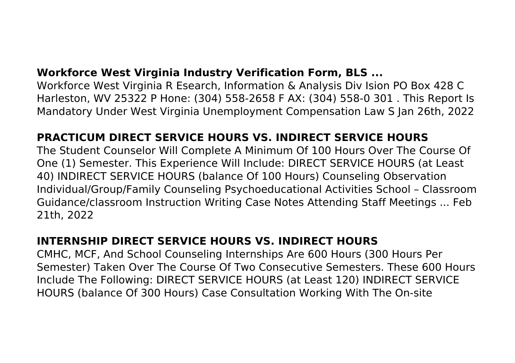# **Workforce West Virginia Industry Verification Form, BLS ...**

Workforce West Virginia R Esearch, Information & Analysis Div Ision PO Box 428 C Harleston, WV 25322 P Hone: (304) 558-2658 F AX: (304) 558-0 301 . This Report Is Mandatory Under West Virginia Unemployment Compensation Law S Jan 26th, 2022

# **PRACTICUM DIRECT SERVICE HOURS VS. INDIRECT SERVICE HOURS**

The Student Counselor Will Complete A Minimum Of 100 Hours Over The Course Of One (1) Semester. This Experience Will Include: DIRECT SERVICE HOURS (at Least 40) INDIRECT SERVICE HOURS (balance Of 100 Hours) Counseling Observation Individual/Group/Family Counseling Psychoeducational Activities School – Classroom Guidance/classroom Instruction Writing Case Notes Attending Staff Meetings ... Feb 21th, 2022

#### **INTERNSHIP DIRECT SERVICE HOURS VS. INDIRECT HOURS**

CMHC, MCF, And School Counseling Internships Are 600 Hours (300 Hours Per Semester) Taken Over The Course Of Two Consecutive Semesters. These 600 Hours Include The Following: DIRECT SERVICE HOURS (at Least 120) INDIRECT SERVICE HOURS (balance Of 300 Hours) Case Consultation Working With The On-site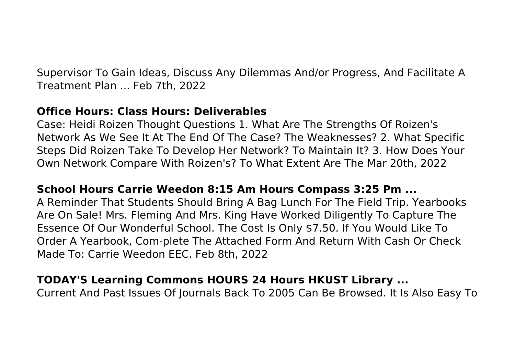Supervisor To Gain Ideas, Discuss Any Dilemmas And/or Progress, And Facilitate A Treatment Plan ... Feb 7th, 2022

#### **Office Hours: Class Hours: Deliverables**

Case: Heidi Roizen Thought Questions 1. What Are The Strengths Of Roizen's Network As We See It At The End Of The Case? The Weaknesses? 2. What Specific Steps Did Roizen Take To Develop Her Network? To Maintain It? 3. How Does Your Own Network Compare With Roizen's? To What Extent Are The Mar 20th, 2022

# **School Hours Carrie Weedon 8:15 Am Hours Compass 3:25 Pm ...**

A Reminder That Students Should Bring A Bag Lunch For The Field Trip. Yearbooks Are On Sale! Mrs. Fleming And Mrs. King Have Worked Diligently To Capture The Essence Of Our Wonderful School. The Cost Is Only \$7.50. If You Would Like To Order A Yearbook, Com-plete The Attached Form And Return With Cash Or Check Made To: Carrie Weedon EEC. Feb 8th, 2022

# **TODAY'S Learning Commons HOURS 24 Hours HKUST Library ...**

Current And Past Issues Of Journals Back To 2005 Can Be Browsed. It Is Also Easy To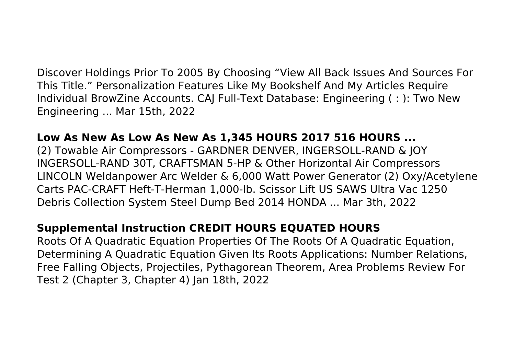Discover Holdings Prior To 2005 By Choosing "View All Back Issues And Sources For This Title." Personalization Features Like My Bookshelf And My Articles Require Individual BrowZine Accounts. CAJ Full-Text Database: Engineering ( : ): Two New Engineering ... Mar 15th, 2022

#### **Low As New As Low As New As 1,345 HOURS 2017 516 HOURS ...**

(2) Towable Air Compressors - GARDNER DENVER, INGERSOLL-RAND & JOY INGERSOLL-RAND 30T, CRAFTSMAN 5-HP & Other Horizontal Air Compressors LINCOLN Weldanpower Arc Welder & 6,000 Watt Power Generator (2) Oxy/Acetylene Carts PAC-CRAFT Heft-T-Herman 1,000-lb. Scissor Lift US SAWS Ultra Vac 1250 Debris Collection System Steel Dump Bed 2014 HONDA ... Mar 3th, 2022

#### **Supplemental Instruction CREDIT HOURS EQUATED HOURS**

Roots Of A Quadratic Equation Properties Of The Roots Of A Quadratic Equation, Determining A Quadratic Equation Given Its Roots Applications: Number Relations, Free Falling Objects, Projectiles, Pythagorean Theorem, Area Problems Review For Test 2 (Chapter 3, Chapter 4) Jan 18th, 2022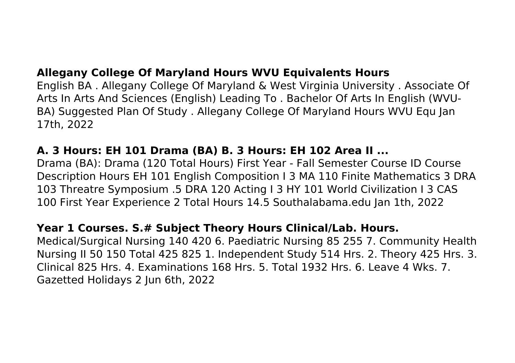# **Allegany College Of Maryland Hours WVU Equivalents Hours**

English BA . Allegany College Of Maryland & West Virginia University . Associate Of Arts In Arts And Sciences (English) Leading To . Bachelor Of Arts In English (WVU-BA) Suggested Plan Of Study . Allegany College Of Maryland Hours WVU Equ Jan 17th, 2022

# **A. 3 Hours: EH 101 Drama (BA) B. 3 Hours: EH 102 Area II ...**

Drama (BA): Drama (120 Total Hours) First Year - Fall Semester Course ID Course Description Hours EH 101 English Composition I 3 MA 110 Finite Mathematics 3 DRA 103 Threatre Symposium .5 DRA 120 Acting I 3 HY 101 World Civilization I 3 CAS 100 First Year Experience 2 Total Hours 14.5 Southalabama.edu Jan 1th, 2022

#### **Year 1 Courses. S.# Subject Theory Hours Clinical/Lab. Hours.**

Medical/Surgical Nursing 140 420 6. Paediatric Nursing 85 255 7. Community Health Nursing II 50 150 Total 425 825 1. Independent Study 514 Hrs. 2. Theory 425 Hrs. 3. Clinical 825 Hrs. 4. Examinations 168 Hrs. 5. Total 1932 Hrs. 6. Leave 4 Wks. 7. Gazetted Holidays 2 Jun 6th, 2022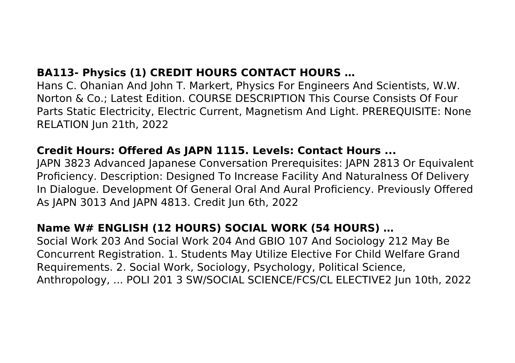# **BA113- Physics (1) CREDIT HOURS CONTACT HOURS …**

Hans C. Ohanian And John T. Markert, Physics For Engineers And Scientists, W.W. Norton & Co.; Latest Edition. COURSE DESCRIPTION This Course Consists Of Four Parts Static Electricity, Electric Current, Magnetism And Light. PREREQUISITE: None RELATION Jun 21th, 2022

#### **Credit Hours: Offered As JAPN 1115. Levels: Contact Hours ...**

JAPN 3823 Advanced Japanese Conversation Prerequisites: JAPN 2813 Or Equivalent Proficiency. Description: Designed To Increase Facility And Naturalness Of Delivery In Dialogue. Development Of General Oral And Aural Proficiency. Previously Offered As JAPN 3013 And JAPN 4813. Credit Jun 6th, 2022

# **Name W# ENGLISH (12 HOURS) SOCIAL WORK (54 HOURS) …**

Social Work 203 And Social Work 204 And GBIO 107 And Sociology 212 May Be Concurrent Registration. 1. Students May Utilize Elective For Child Welfare Grand Requirements. 2. Social Work, Sociology, Psychology, Political Science, Anthropology, ... POLI 201 3 SW/SOCIAL SCIENCE/FCS/CL ELECTIVE2 Jun 10th, 2022